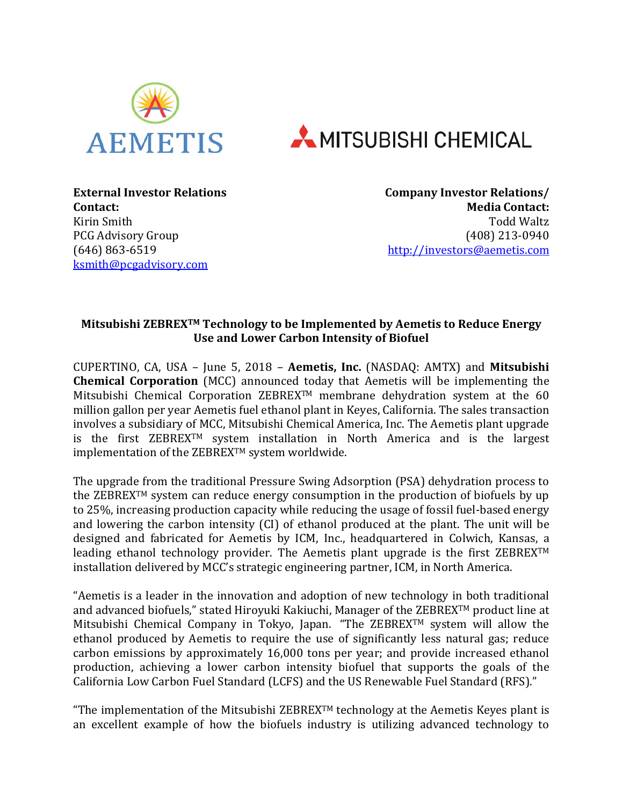



**External Investor Relations Contact:** Kirin Smith PCG Advisory Group (646) 863-6519 [ksmith@pcgadvisory.com](mailto:ksmith@pcgadvisory.com)

**Company Investor Relations/ Media Contact:** Todd Waltz (408) 213-0940 [http://investors@aemetis.com](http://investors@aemetis.com/)

## **Mitsubishi ZEBREXTM Technology to be Implemented by Aemetis to Reduce Energy Use and Lower Carbon Intensity of Biofuel**

CUPERTINO, CA, USA – June 5, 2018 – **Aemetis, Inc.** (NASDAQ: AMTX) and **Mitsubishi Chemical Corporation** (MCC) announced today that Aemetis will be implementing the Mitsubishi Chemical Corporation ZEBREX<sup>TM</sup> membrane dehydration system at the 60 million gallon per year Aemetis fuel ethanol plant in Keyes, California. The sales transaction involves a subsidiary of MCC, Mitsubishi Chemical America, Inc. The Aemetis plant upgrade is the first ZEBREXTM system installation in North America and is the largest implementation of the ZEBREX™ system worldwide.

The upgrade from the traditional Pressure Swing Adsorption (PSA) dehydration process to the ZEBREX<sup>TM</sup> system can reduce energy consumption in the production of biofuels by up to 25%, increasing production capacity while reducing the usage of fossil fuel-based energy and lowering the carbon intensity (CI) of ethanol produced at the plant. The unit will be designed and fabricated for Aemetis by ICM, Inc., headquartered in Colwich, Kansas, a leading ethanol technology provider. The Aemetis plant upgrade is the first ZEBREXTM installation delivered by MCC's strategic engineering partner, ICM, in North America.

"Aemetis is a leader in the innovation and adoption of new technology in both traditional and advanced biofuels," stated Hiroyuki Kakiuchi, Manager of the ZEBREXTM product line at Mitsubishi Chemical Company in Tokyo, Japan. "The ZEBREXTM system will allow the ethanol produced by Aemetis to require the use of significantly less natural gas; reduce carbon emissions by approximately 16,000 tons per year; and provide increased ethanol production, achieving a lower carbon intensity biofuel that supports the goals of the California Low Carbon Fuel Standard (LCFS) and the US Renewable Fuel Standard (RFS)."

"The implementation of the Mitsubishi ZEBREX<sup>TM</sup> technology at the Aemetis Keyes plant is an excellent example of how the biofuels industry is utilizing advanced technology to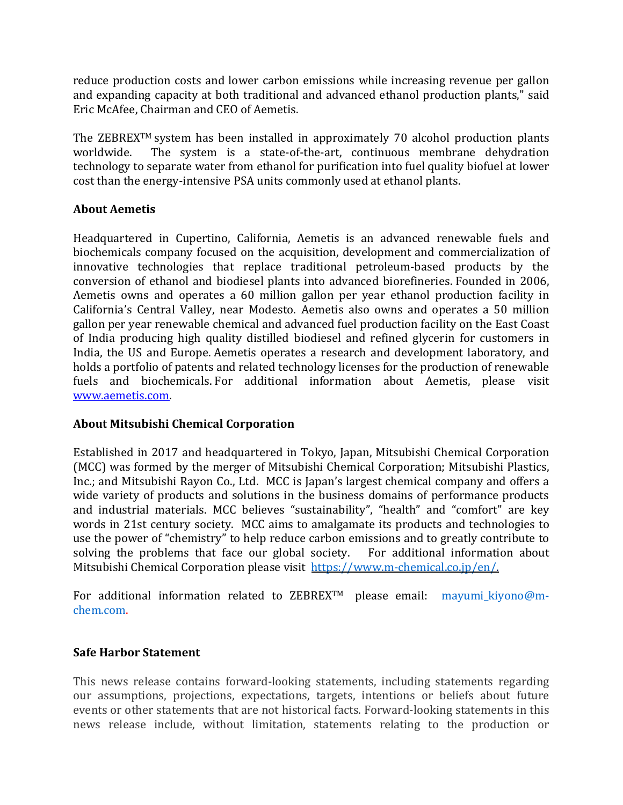reduce production costs and lower carbon emissions while increasing revenue per gallon and expanding capacity at both traditional and advanced ethanol production plants," said Eric McAfee, Chairman and CEO of Aemetis.

The ZEBREX<sup>TM</sup> system has been installed in approximately 70 alcohol production plants worldwide. The system is a state-of-the-art, continuous membrane dehydration technology to separate water from ethanol for purification into fuel quality biofuel at lower cost than the energy-intensive PSA units commonly used at ethanol plants.

## **About Aemetis**

Headquartered in Cupertino, California, Aemetis is an advanced renewable fuels and biochemicals company focused on the acquisition, development and commercialization of innovative technologies that replace traditional petroleum-based products by the conversion of ethanol and biodiesel plants into advanced biorefineries. Founded in 2006, Aemetis owns and operates a 60 million gallon per year ethanol production facility in California's Central Valley, near Modesto. Aemetis also owns and operates a 50 million gallon per year renewable chemical and advanced fuel production facility on the East Coast of India producing high quality distilled biodiesel and refined glycerin for customers in India, the US and Europe. Aemetis operates a research and development laboratory, and holds a portfolio of patents and related technology licenses for the production of renewable fuels and biochemicals. For additional information about Aemetis, please visit [www.aemetis.com.](http://www.aemetis.com/)

## **About Mitsubishi Chemical Corporation**

Established in 2017 and headquartered in Tokyo, Japan, Mitsubishi Chemical Corporation (MCC) was formed by the merger of Mitsubishi Chemical Corporation; Mitsubishi Plastics, Inc.; and Mitsubishi Rayon Co., Ltd. MCC is Japan's largest chemical company and offers a wide variety of products and solutions in the business domains of performance products and industrial materials. MCC believes "sustainability", "health" and "comfort" are key words in 21st century society. MCC aims to amalgamate its products and technologies to use the power of "chemistry" to help reduce carbon emissions and to greatly contribute to solving the problems that face our global society. For additional information about Mitsubishi Chemical Corporation please visit [https://www.m-chemical.co.jp/en/.](https://www.m-chemical.co.jp/en/)

For additional information related to ZEBREX<sup>TM</sup> please email: mayumi\_kiyono@mchem.com.

## **Safe Harbor Statement**

This news release contains forward-looking statements, including statements regarding our assumptions, projections, expectations, targets, intentions or beliefs about future events or other statements that are not historical facts. Forward-looking statements in this news release include, without limitation, statements relating to the production or